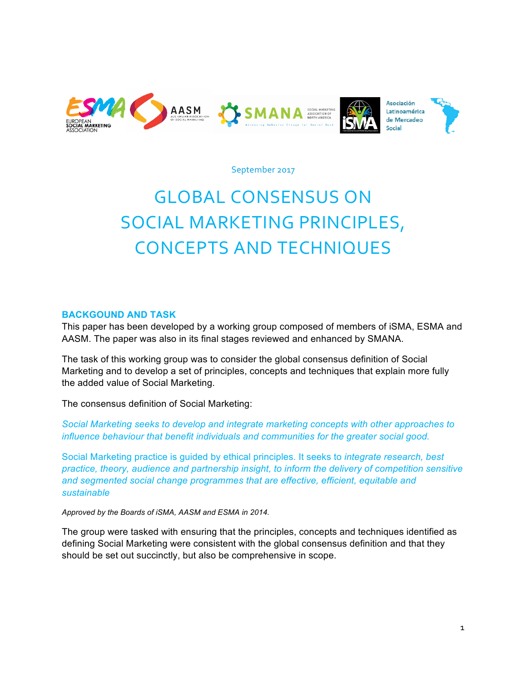

September 2017

# **GLOBAL CONSENSUS ON** SOCIAL MARKETING PRINCIPLES, CONCEPTS AND TECHNIQUES

## **BACKGOUND AND TASK**

This paper has been developed by a working group composed of members of iSMA, ESMA and AASM. The paper was also in its final stages reviewed and enhanced by SMANA.

The task of this working group was to consider the global consensus definition of Social Marketing and to develop a set of principles, concepts and techniques that explain more fully the added value of Social Marketing.

The consensus definition of Social Marketing:

*Social Marketing seeks to develop and integrate marketing concepts with other approaches to influence behaviour that benefit individuals and communities for the greater social good.*

Social Marketing practice is guided by ethical principles. It seeks to *integrate research, best practice, theory, audience and partnership insight, to inform the delivery of competition sensitive and segmented social change programmes that are effective, efficient, equitable and sustainable*

*Approved by the Boards of iSMA, AASM and ESMA in 2014.*

The group were tasked with ensuring that the principles, concepts and techniques identified as defining Social Marketing were consistent with the global consensus definition and that they should be set out succinctly, but also be comprehensive in scope.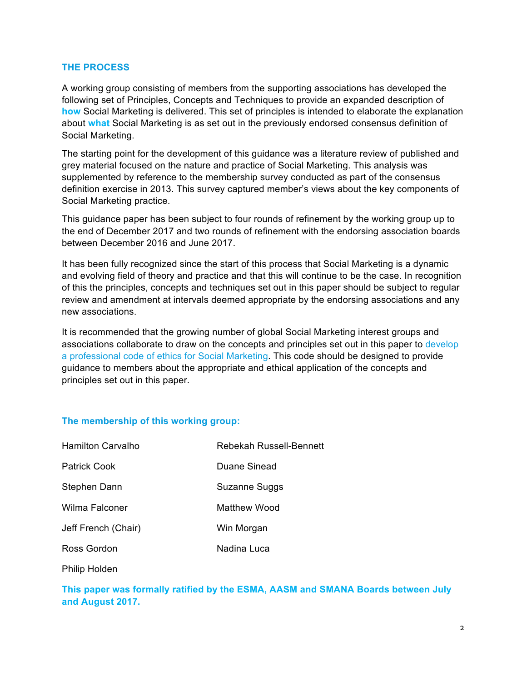## **THE PROCESS**

A working group consisting of members from the supporting associations has developed the following set of Principles, Concepts and Techniques to provide an expanded description of **how** Social Marketing is delivered. This set of principles is intended to elaborate the explanation about **what** Social Marketing is as set out in the previously endorsed consensus definition of Social Marketing.

The starting point for the development of this guidance was a literature review of published and grey material focused on the nature and practice of Social Marketing. This analysis was supplemented by reference to the membership survey conducted as part of the consensus definition exercise in 2013. This survey captured member's views about the key components of Social Marketing practice.

This guidance paper has been subject to four rounds of refinement by the working group up to the end of December 2017 and two rounds of refinement with the endorsing association boards between December 2016 and June 2017.

It has been fully recognized since the start of this process that Social Marketing is a dynamic and evolving field of theory and practice and that this will continue to be the case. In recognition of this the principles, concepts and techniques set out in this paper should be subject to regular review and amendment at intervals deemed appropriate by the endorsing associations and any new associations.

It is recommended that the growing number of global Social Marketing interest groups and associations collaborate to draw on the concepts and principles set out in this paper to develop a professional code of ethics for Social Marketing. This code should be designed to provide guidance to members about the appropriate and ethical application of the concepts and principles set out in this paper.

# **The membership of this working group:**

| <b>Hamilton Carvalho</b> | Rebekah Russell-Bennett |
|--------------------------|-------------------------|
| <b>Patrick Cook</b>      | Duane Sinead            |
| Stephen Dann             | Suzanne Suggs           |
| Wilma Falconer           | Matthew Wood            |
| Jeff French (Chair)      | Win Morgan              |
| Ross Gordon              | Nadina Luca             |
|                          |                         |

Philip Holden

**This paper was formally ratified by the ESMA, AASM and SMANA Boards between July and August 2017.**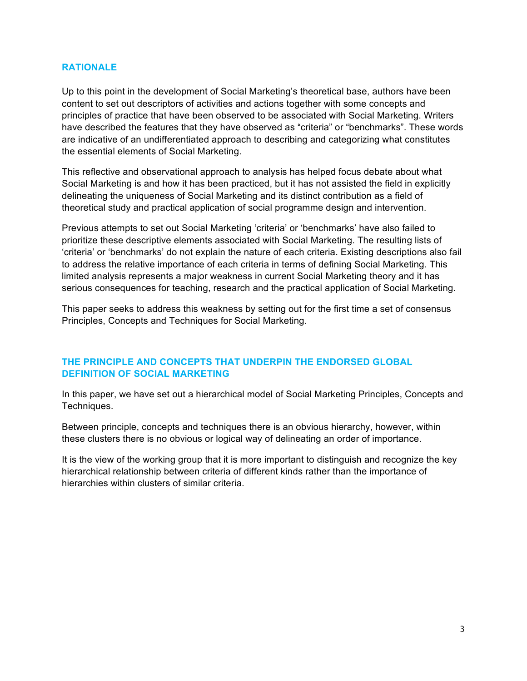## **RATIONALE**

Up to this point in the development of Social Marketing's theoretical base, authors have been content to set out descriptors of activities and actions together with some concepts and principles of practice that have been observed to be associated with Social Marketing. Writers have described the features that they have observed as "criteria" or "benchmarks". These words are indicative of an undifferentiated approach to describing and categorizing what constitutes the essential elements of Social Marketing.

This reflective and observational approach to analysis has helped focus debate about what Social Marketing is and how it has been practiced, but it has not assisted the field in explicitly delineating the uniqueness of Social Marketing and its distinct contribution as a field of theoretical study and practical application of social programme design and intervention.

Previous attempts to set out Social Marketing 'criteria' or 'benchmarks' have also failed to prioritize these descriptive elements associated with Social Marketing. The resulting lists of 'criteria' or 'benchmarks' do not explain the nature of each criteria. Existing descriptions also fail to address the relative importance of each criteria in terms of defining Social Marketing. This limited analysis represents a major weakness in current Social Marketing theory and it has serious consequences for teaching, research and the practical application of Social Marketing.

This paper seeks to address this weakness by setting out for the first time a set of consensus Principles, Concepts and Techniques for Social Marketing.

# **THE PRINCIPLE AND CONCEPTS THAT UNDERPIN THE ENDORSED GLOBAL DEFINITION OF SOCIAL MARKETING**

In this paper, we have set out a hierarchical model of Social Marketing Principles, Concepts and Techniques.

Between principle, concepts and techniques there is an obvious hierarchy, however, within these clusters there is no obvious or logical way of delineating an order of importance.

It is the view of the working group that it is more important to distinguish and recognize the key hierarchical relationship between criteria of different kinds rather than the importance of hierarchies within clusters of similar criteria.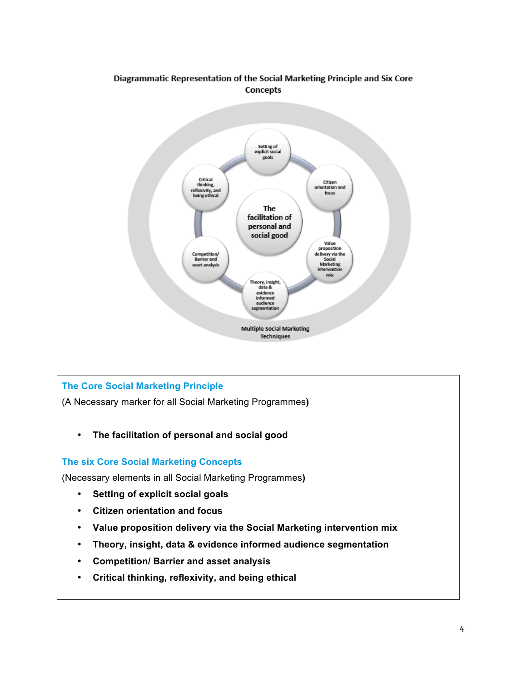# Diagrammatic Representation of the Social Marketing Principle and Six Core Concepts



# **The Core Social Marketing Principle**

(A Necessary marker for all Social Marketing Programmes**)** 

• **The facilitation of personal and social good**

# **The six Core Social Marketing Concepts**

(Necessary elements in all Social Marketing Programmes**)** 

- **Setting of explicit social goals**
- **Citizen orientation and focus**
- **Value proposition delivery via the Social Marketing intervention mix**
- **Theory, insight, data & evidence informed audience segmentation**
- **Competition/ Barrier and asset analysis**
- **Critical thinking, reflexivity, and being ethical**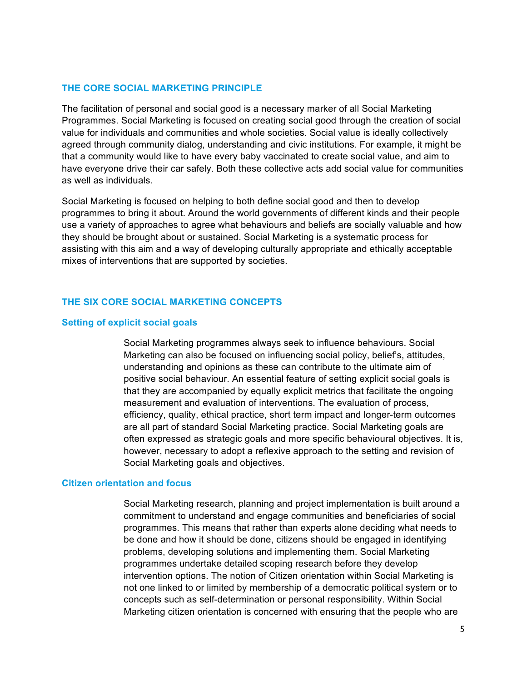## **THE CORE SOCIAL MARKETING PRINCIPLE**

The facilitation of personal and social good is a necessary marker of all Social Marketing Programmes. Social Marketing is focused on creating social good through the creation of social value for individuals and communities and whole societies. Social value is ideally collectively agreed through community dialog, understanding and civic institutions. For example, it might be that a community would like to have every baby vaccinated to create social value, and aim to have everyone drive their car safely. Both these collective acts add social value for communities as well as individuals.

Social Marketing is focused on helping to both define social good and then to develop programmes to bring it about. Around the world governments of different kinds and their people use a variety of approaches to agree what behaviours and beliefs are socially valuable and how they should be brought about or sustained. Social Marketing is a systematic process for assisting with this aim and a way of developing culturally appropriate and ethically acceptable mixes of interventions that are supported by societies.

## **THE SIX CORE SOCIAL MARKETING CONCEPTS**

## **Setting of explicit social goals**

Social Marketing programmes always seek to influence behaviours. Social Marketing can also be focused on influencing social policy, belief's, attitudes, understanding and opinions as these can contribute to the ultimate aim of positive social behaviour. An essential feature of setting explicit social goals is that they are accompanied by equally explicit metrics that facilitate the ongoing measurement and evaluation of interventions. The evaluation of process, efficiency, quality, ethical practice, short term impact and longer-term outcomes are all part of standard Social Marketing practice. Social Marketing goals are often expressed as strategic goals and more specific behavioural objectives. It is, however, necessary to adopt a reflexive approach to the setting and revision of Social Marketing goals and objectives.

#### **Citizen orientation and focus**

Social Marketing research, planning and project implementation is built around a commitment to understand and engage communities and beneficiaries of social programmes. This means that rather than experts alone deciding what needs to be done and how it should be done, citizens should be engaged in identifying problems, developing solutions and implementing them. Social Marketing programmes undertake detailed scoping research before they develop intervention options. The notion of Citizen orientation within Social Marketing is not one linked to or limited by membership of a democratic political system or to concepts such as self-determination or personal responsibility. Within Social Marketing citizen orientation is concerned with ensuring that the people who are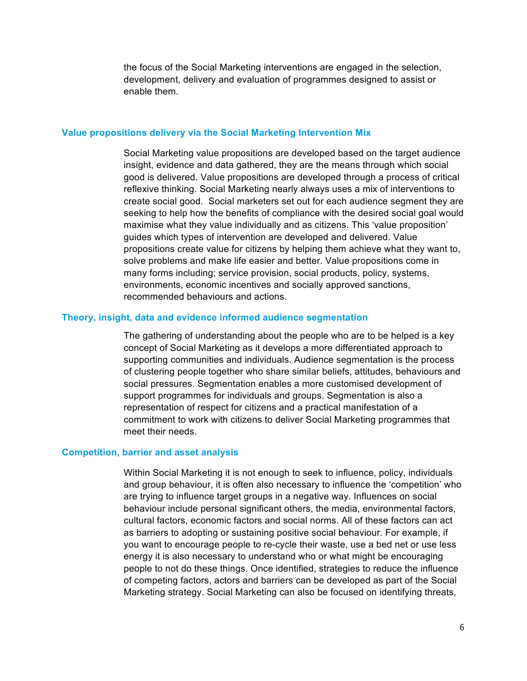the focus of the Social Marketing interventions are engaged in the selection, development, delivery and evaluation of programmes designed to assist or enable them.

#### **Value propositions delivery via the Social Marketing Intervention Mix**

Social Marketing value propositions are developed based on the target audience insight, evidence and data gathered, they are the means through which social good is delivered. Value propositions are developed through a process of critical reflexive thinking. Social Marketing nearly always uses a mix of interventions to create social good. Social marketers set out for each audience segment they are seeking to help how the benefits of compliance with the desired social goal would maximise what they value individually and as citizens. This 'value proposition' guides which types of intervention are developed and delivered. Value propositions create value for citizens by helping them achieve what they want to, solve problems and make life easier and better. Value propositions come in many forms including; service provision, social products, policy, systems, environments, economic incentives and socially approved sanctions, recommended behaviours and actions.

#### **Theory, insight, data and evidence informed audience segmentation**

The gathering of understanding about the people who are to be helped is a key concept of Social Marketing as it develops a more differentiated approach to supporting communities and individuals. Audience segmentation is the process of clustering people together who share similar beliefs, attitudes, behaviours and social pressures. Segmentation enables a more customised development of support programmes for individuals and groups. Segmentation is also a representation of respect for citizens and a practical manifestation of a commitment to work with citizens to deliver Social Marketing programmes that meet their needs.

#### **Competition, barrier and asset analysis**

Within Social Marketing it is not enough to seek to influence, policy, individuals and group behaviour, it is often also necessary to influence the 'competition' who are trying to influence target groups in a negative way. Influences on social behaviour include personal significant others, the media, environmental factors, cultural factors, economic factors and social norms. All of these factors can act as barriers to adopting or sustaining positive social behaviour. For example, if you want to encourage people to re-cycle their waste, use a bed net or use less energy it is also necessary to understand who or what might be encouraging people to not do these things. Once identified, strategies to reduce the influence of competing factors, actors and barriers can be developed as part of the Social Marketing strategy. Social Marketing can also be focused on identifying threats,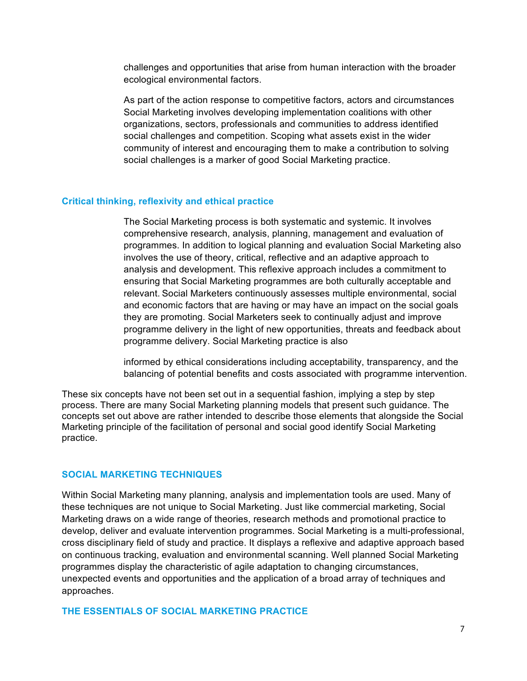challenges and opportunities that arise from human interaction with the broader ecological environmental factors.

As part of the action response to competitive factors, actors and circumstances Social Marketing involves developing implementation coalitions with other organizations, sectors, professionals and communities to address identified social challenges and competition. Scoping what assets exist in the wider community of interest and encouraging them to make a contribution to solving social challenges is a marker of good Social Marketing practice.

#### **Critical thinking, reflexivity and ethical practice**

The Social Marketing process is both systematic and systemic. It involves comprehensive research, analysis, planning, management and evaluation of programmes. In addition to logical planning and evaluation Social Marketing also involves the use of theory, critical, reflective and an adaptive approach to analysis and development. This reflexive approach includes a commitment to ensuring that Social Marketing programmes are both culturally acceptable and relevant. Social Marketers continuously assesses multiple environmental, social and economic factors that are having or may have an impact on the social goals they are promoting. Social Marketers seek to continually adjust and improve programme delivery in the light of new opportunities, threats and feedback about programme delivery. Social Marketing practice is also

informed by ethical considerations including acceptability, transparency, and the balancing of potential benefits and costs associated with programme intervention.

These six concepts have not been set out in a sequential fashion, implying a step by step process. There are many Social Marketing planning models that present such guidance. The concepts set out above are rather intended to describe those elements that alongside the Social Marketing principle of the facilitation of personal and social good identify Social Marketing practice.

#### **SOCIAL MARKETING TECHNIQUES**

Within Social Marketing many planning, analysis and implementation tools are used. Many of these techniques are not unique to Social Marketing. Just like commercial marketing, Social Marketing draws on a wide range of theories, research methods and promotional practice to develop, deliver and evaluate intervention programmes. Social Marketing is a multi-professional, cross disciplinary field of study and practice. It displays a reflexive and adaptive approach based on continuous tracking, evaluation and environmental scanning. Well planned Social Marketing programmes display the characteristic of agile adaptation to changing circumstances, unexpected events and opportunities and the application of a broad array of techniques and approaches.

## **THE ESSENTIALS OF SOCIAL MARKETING PRACTICE**